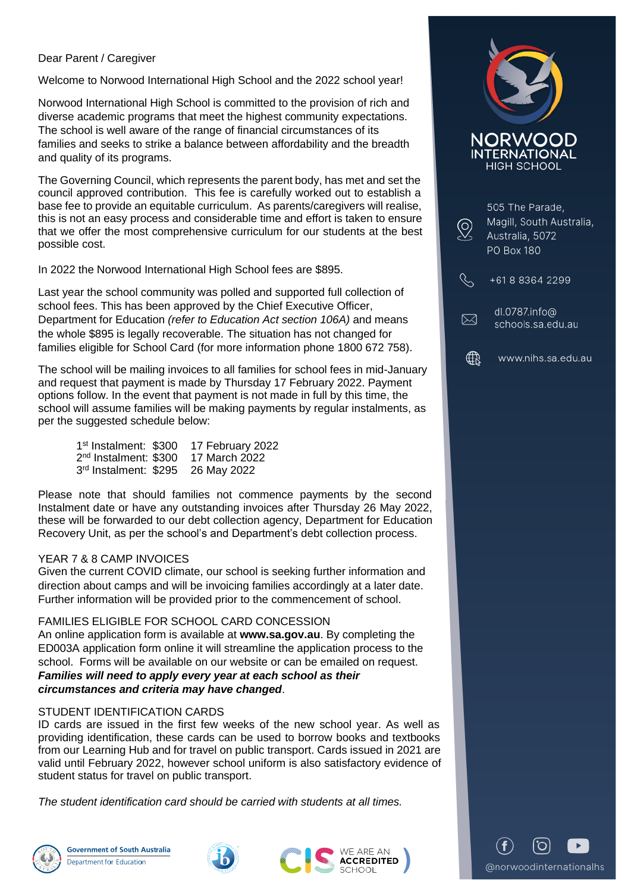## Dear Parent / Caregiver

Welcome to Norwood International High School and the 2022 school year!

Norwood International High School is committed to the provision of rich and diverse academic programs that meet the highest community expectations. The school is well aware of the range of financial circumstances of its families and seeks to strike a balance between affordability and the breadth and quality of its programs.

The Governing Council, which represents the parent body, has met and set the council approved contribution. This fee is carefully worked out to establish a base fee to provide an equitable curriculum. As parents/caregivers will realise, this is not an easy process and considerable time and effort is taken to ensure that we offer the most comprehensive curriculum for our students at the best possible cost.

In 2022 the Norwood International High School fees are \$895.

Last year the school community was polled and supported full collection of school fees. This has been approved by the Chief Executive Officer, Department for Education *(refer to Education Act section 106A)* and means the whole \$895 is legally recoverable. The situation has not changed for families eligible for School Card (for more information phone 1800 672 758).

The school will be mailing invoices to all families for school fees in mid-January and request that payment is made by Thursday 17 February 2022. Payment options follow. In the event that payment is not made in full by this time, the school will assume families will be making payments by regular instalments, as per the suggested schedule below:

| 1 <sup>st</sup> Instalment: \$300 | 17 February 2022 |
|-----------------------------------|------------------|
| 2 <sup>nd</sup> Instalment: \$300 | 17 March 2022    |
| 3 <sup>rd</sup> Instalment: \$295 | 26 May 2022      |

Please note that should families not commence payments by the second Instalment date or have any outstanding invoices after Thursday 26 May 2022, these will be forwarded to our debt collection agency, Department for Education Recovery Unit, as per the school's and Department's debt collection process.

### YEAR 7 & 8 CAMP INVOICES

Given the current COVID climate, our school is seeking further information and direction about camps and will be invoicing families accordingly at a later date. Further information will be provided prior to the commencement of school.

#### FAMILIES ELIGIBLE FOR SCHOOL CARD CONCESSION

An online application form is available at **www.sa.gov.au**. By completing the ED003A application form online it will streamline the application process to the school. Forms will be available on our website or can be emailed on request.

*Families will need to apply every year at each school as their circumstances and criteria may have changed*.

### STUDENT IDENTIFICATION CARDS

ID cards are issued in the first few weeks of the new school year. As well as providing identification, these cards can be used to borrow books and textbooks from our Learning Hub and for travel on public transport. Cards issued in 2021 are valid until February 2022, however school uniform is also satisfactory evidence of student status for travel on public transport.

*The student identification card should be carried with students at all times.*









| 505 The Parade,<br>Magill, South Australia,<br>Australia, 5072<br>PO Box 180 |
|------------------------------------------------------------------------------|
| +61883642299                                                                 |
| dl.0787.info@<br>schools.sa.edu.au                                           |
| www.nihe.ea.odu.au                                                           |

@norwoodinternationalhs